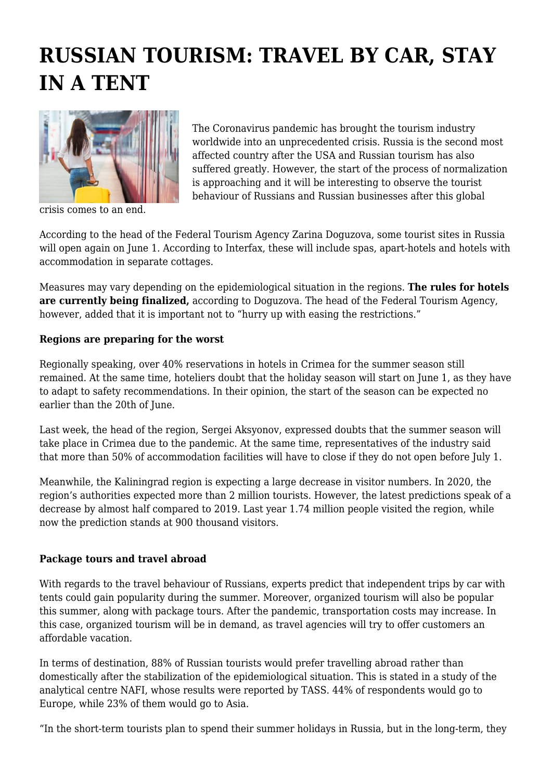## **RUSSIAN TOURISM: TRAVEL BY CAR, STAY IN A TENT**



crisis comes to an end.

The Coronavirus pandemic has brought the tourism industry worldwide into an unprecedented crisis. Russia is the second most affected country after the USA and Russian tourism has also suffered greatly. However, the start of the process of normalization is approaching and it will be interesting to observe the tourist behaviour of Russians and Russian businesses after this global

According to the head of the Federal Tourism Agency Zarina Doguzova, some tourist sites in Russia will open again on June 1. According to Interfax, these will include spas, apart-hotels and hotels with accommodation in separate cottages.

Measures may vary depending on the epidemiological situation in the regions. **The rules for hotels are currently being finalized,** according to Doguzova. The head of the Federal Tourism Agency, however, added that it is important not to "hurry up with easing the restrictions."

## **Regions are preparing for the worst**

Regionally speaking, over 40% reservations in hotels in Crimea for the summer season still remained. At the same time, hoteliers doubt that the holiday season will start on June 1, as they have to adapt to safety recommendations. In their opinion, the start of the season can be expected no earlier than the 20th of June.

Last week, the head of the region, Sergei Aksyonov, expressed doubts that the summer season will take place in Crimea due to the pandemic. At the same time, representatives of the industry said that more than 50% of accommodation facilities will have to close if they do not open before July 1.

Meanwhile, the Kaliningrad region is expecting a large decrease in visitor numbers. In 2020, the region's authorities expected more than 2 million tourists. However, the latest predictions speak of a decrease by almost half compared to 2019. Last year 1.74 million people visited the region, while now the prediction stands at 900 thousand visitors.

## **Package tours and travel abroad**

With regards to the travel behaviour of Russians, experts predict that independent trips by car with tents could gain popularity during the summer. Moreover, organized tourism will also be popular this summer, along with package tours. After the pandemic, transportation costs may increase. In this case, organized tourism will be in demand, as travel agencies will try to offer customers an affordable vacation.

In terms of destination, 88% of Russian tourists would prefer travelling abroad rather than domestically after the stabilization of the epidemiological situation. This is stated in a study of the analytical centre NAFI, whose results were reported by TASS. 44% of respondents would go to Europe, while 23% of them would go to Asia.

"In the short-term tourists plan to spend their summer holidays in Russia, but in the long-term, they